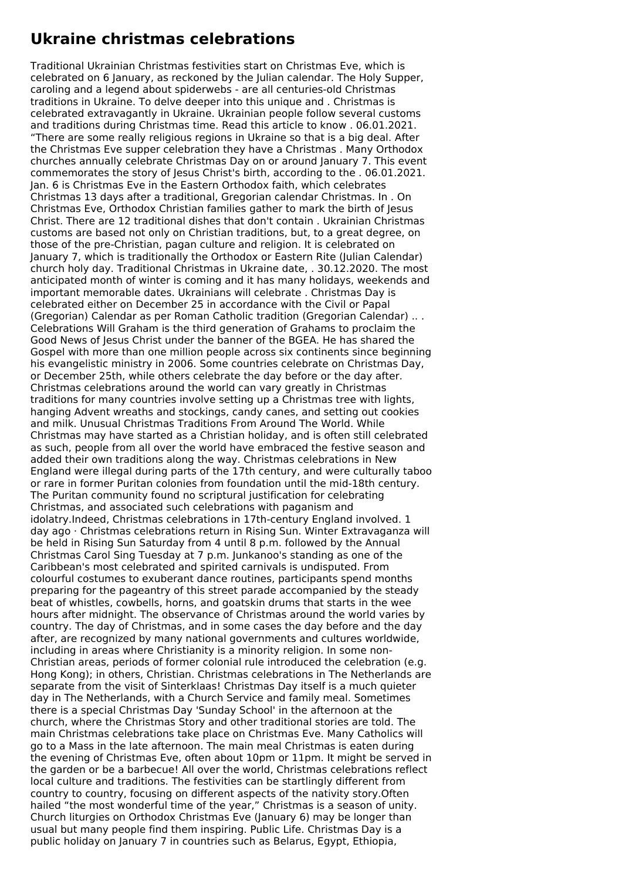## **Ukraine christmas celebrations**

Traditional Ukrainian Christmas festivities start on Christmas Eve, which is celebrated on 6 January, as reckoned by the Julian calendar. The Holy Supper, caroling and a legend about spiderwebs - are all centuries-old Christmas traditions in Ukraine. To delve deeper into this unique and . Christmas is celebrated extravagantly in Ukraine. Ukrainian people follow several customs and traditions during Christmas time. Read this article to know . 06.01.2021. "There are some really religious regions in Ukraine so that is a big deal. After the Christmas Eve supper celebration they have a Christmas . Many Orthodox churches annually celebrate Christmas Day on or around January 7. This event commemorates the story of Jesus Christ's birth, according to the . 06.01.2021. Jan. 6 is Christmas Eve in the Eastern Orthodox faith, which celebrates Christmas 13 days after a traditional, Gregorian calendar Christmas. In . On Christmas Eve, Orthodox Christian families gather to mark the birth of Jesus Christ. There are 12 traditional dishes that don't contain . Ukrainian Christmas customs are based not only on Christian traditions, but, to a great degree, on those of the pre-Christian, pagan culture and religion. It is celebrated on January 7, which is traditionally the Orthodox or Eastern Rite (Julian Calendar) church holy day. Traditional Christmas in Ukraine date, . 30.12.2020. The most anticipated month of winter is coming and it has many holidays, weekends and important memorable dates. Ukrainians will celebrate . Christmas Day is celebrated either on December 25 in accordance with the Civil or Papal (Gregorian) Calendar as per Roman Catholic tradition (Gregorian Calendar) .. . Celebrations Will Graham is the third generation of Grahams to proclaim the Good News of Jesus Christ under the banner of the BGEA. He has shared the Gospel with more than one million people across six continents since beginning his evangelistic ministry in 2006. Some countries celebrate on Christmas Day, or December 25th, while others celebrate the day before or the day after. Christmas celebrations around the world can vary greatly in Christmas traditions for many countries involve setting up a Christmas tree with lights, hanging Advent wreaths and stockings, candy canes, and setting out cookies and milk. Unusual Christmas Traditions From Around The World. While Christmas may have started as a Christian holiday, and is often still celebrated as such, people from all over the world have embraced the festive season and added their own traditions along the way. Christmas celebrations in New England were illegal during parts of the 17th century, and were culturally taboo or rare in former Puritan colonies from foundation until the mid-18th century. The Puritan community found no scriptural justification for celebrating Christmas, and associated such celebrations with paganism and idolatry.Indeed, Christmas celebrations in 17th-century England involved. 1 day ago · Christmas celebrations return in Rising Sun. Winter Extravaganza will be held in Rising Sun Saturday from 4 until 8 p.m. followed by the Annual Christmas Carol Sing Tuesday at 7 p.m. Junkanoo's standing as one of the Caribbean's most celebrated and spirited carnivals is undisputed. From colourful costumes to exuberant dance routines, participants spend months preparing for the pageantry of this street parade accompanied by the steady beat of whistles, cowbells, horns, and goatskin drums that starts in the wee hours after midnight. The observance of Christmas around the world varies by country. The day of Christmas, and in some cases the day before and the day after, are recognized by many national governments and cultures worldwide, including in areas where Christianity is a minority religion. In some non-Christian areas, periods of former colonial rule introduced the celebration (e.g. Hong Kong); in others, Christian. Christmas celebrations in The Netherlands are separate from the visit of Sinterklaas! Christmas Day itself is a much quieter day in The Netherlands, with a Church Service and family meal. Sometimes there is a special Christmas Day 'Sunday School' in the afternoon at the church, where the Christmas Story and other traditional stories are told. The main Christmas celebrations take place on Christmas Eve. Many Catholics will go to a Mass in the late afternoon. The main meal Christmas is eaten during the evening of Christmas Eve, often about 10pm or 11pm. It might be served in the garden or be a barbecue! All over the world, Christmas celebrations reflect local culture and traditions. The festivities can be startlingly different from country to country, focusing on different aspects of the nativity story.Often hailed "the most wonderful time of the year," Christmas is a season of unity. Church liturgies on Orthodox Christmas Eve (January 6) may be longer than usual but many people find them inspiring. Public Life. Christmas Day is a public holiday on January 7 in countries such as Belarus, Egypt, Ethiopia,